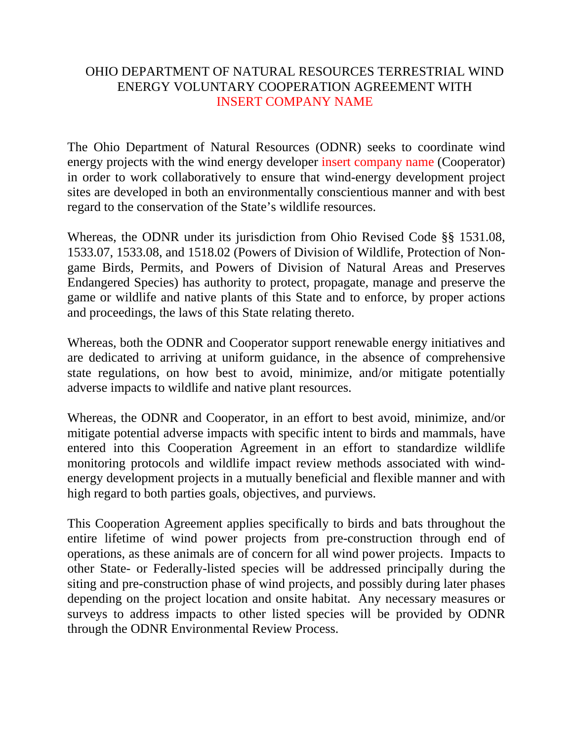## OHIO DEPARTMENT OF NATURAL RESOURCES TERRESTRIAL WIND ENERGY VOLUNTARY COOPERATION AGREEMENT WITH INSERT COMPANY NAME

The Ohio Department of Natural Resources (ODNR) seeks to coordinate wind energy projects with the wind energy developer insert company name (Cooperator) in order to work collaboratively to ensure that wind-energy development project sites are developed in both an environmentally conscientious manner and with best regard to the conservation of the State's wildlife resources.

Whereas, the ODNR under its jurisdiction from Ohio Revised Code §§ 1531.08, 1533.07, 1533.08, and 1518.02 (Powers of Division of Wildlife, Protection of Nongame Birds, Permits, and Powers of Division of Natural Areas and Preserves Endangered Species) has authority to protect, propagate, manage and preserve the game or wildlife and native plants of this State and to enforce, by proper actions and proceedings, the laws of this State relating thereto.

Whereas, both the ODNR and Cooperator support renewable energy initiatives and are dedicated to arriving at uniform guidance, in the absence of comprehensive state regulations, on how best to avoid, minimize, and/or mitigate potentially adverse impacts to wildlife and native plant resources.

Whereas, the ODNR and Cooperator, in an effort to best avoid, minimize, and/or mitigate potential adverse impacts with specific intent to birds and mammals, have entered into this Cooperation Agreement in an effort to standardize wildlife monitoring protocols and wildlife impact review methods associated with windenergy development projects in a mutually beneficial and flexible manner and with high regard to both parties goals, objectives, and purviews.

This Cooperation Agreement applies specifically to birds and bats throughout the entire lifetime of wind power projects from pre-construction through end of operations, as these animals are of concern for all wind power projects. Impacts to other State- or Federally-listed species will be addressed principally during the siting and pre-construction phase of wind projects, and possibly during later phases depending on the project location and onsite habitat. Any necessary measures or surveys to address impacts to other listed species will be provided by ODNR through the ODNR Environmental Review Process.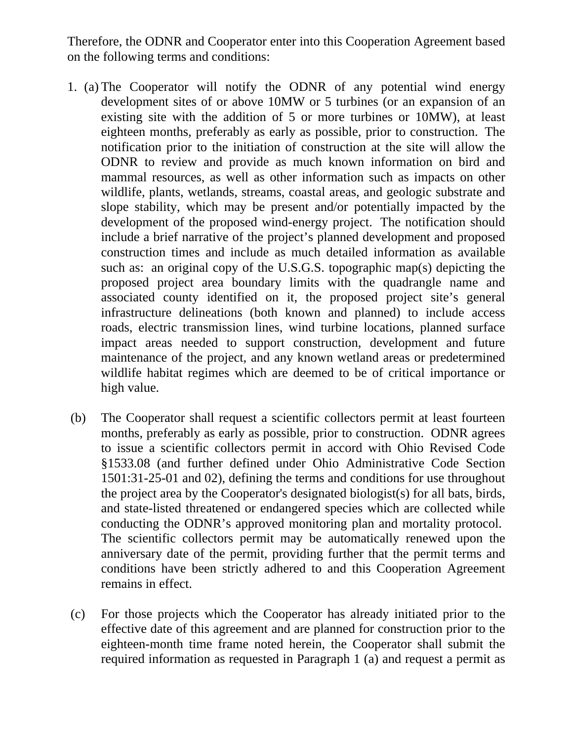Therefore, the ODNR and Cooperator enter into this Cooperation Agreement based on the following terms and conditions:

- 1. (a) The Cooperator will notify the ODNR of any potential wind energy development sites of or above 10MW or 5 turbines (or an expansion of an existing site with the addition of 5 or more turbines or 10MW), at least eighteen months, preferably as early as possible, prior to construction. The notification prior to the initiation of construction at the site will allow the ODNR to review and provide as much known information on bird and mammal resources, as well as other information such as impacts on other wildlife, plants, wetlands, streams, coastal areas, and geologic substrate and slope stability, which may be present and/or potentially impacted by the development of the proposed wind-energy project. The notification should include a brief narrative of the project's planned development and proposed construction times and include as much detailed information as available such as: an original copy of the U.S.G.S. topographic map(s) depicting the proposed project area boundary limits with the quadrangle name and associated county identified on it, the proposed project site's general infrastructure delineations (both known and planned) to include access roads, electric transmission lines, wind turbine locations, planned surface impact areas needed to support construction, development and future maintenance of the project, and any known wetland areas or predetermined wildlife habitat regimes which are deemed to be of critical importance or high value.
- (b) The Cooperator shall request a scientific collectors permit at least fourteen months, preferably as early as possible, prior to construction. ODNR agrees to issue a scientific collectors permit in accord with Ohio Revised Code §1533.08 (and further defined under Ohio Administrative Code Section 1501:31-25-01 and 02), defining the terms and conditions for use throughout the project area by the Cooperator's designated biologist(s) for all bats, birds, and state-listed threatened or endangered species which are collected while conducting the ODNR's approved monitoring plan and mortality protocol. The scientific collectors permit may be automatically renewed upon the anniversary date of the permit, providing further that the permit terms and conditions have been strictly adhered to and this Cooperation Agreement remains in effect.
- (c) For those projects which the Cooperator has already initiated prior to the effective date of this agreement and are planned for construction prior to the eighteen-month time frame noted herein, the Cooperator shall submit the required information as requested in Paragraph 1 (a) and request a permit as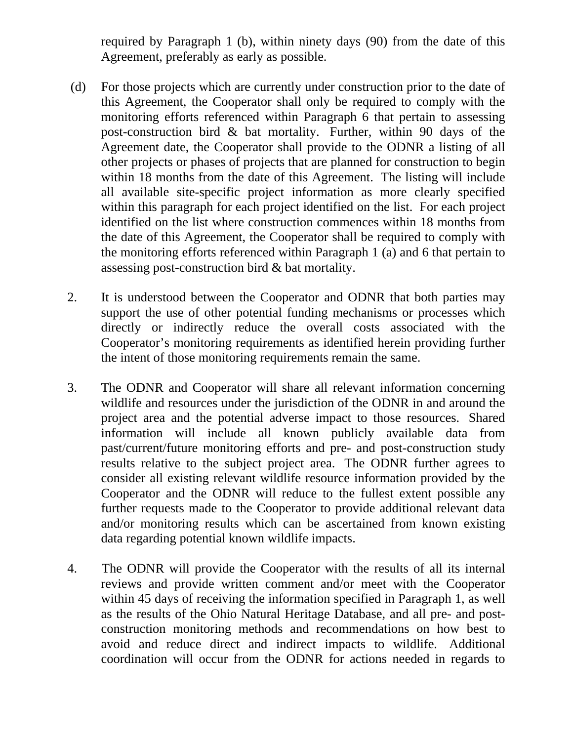required by Paragraph 1 (b), within ninety days (90) from the date of this Agreement, preferably as early as possible.

- (d) For those projects which are currently under construction prior to the date of this Agreement, the Cooperator shall only be required to comply with the monitoring efforts referenced within Paragraph 6 that pertain to assessing post-construction bird & bat mortality. Further, within 90 days of the Agreement date, the Cooperator shall provide to the ODNR a listing of all other projects or phases of projects that are planned for construction to begin within 18 months from the date of this Agreement. The listing will include all available site-specific project information as more clearly specified within this paragraph for each project identified on the list. For each project identified on the list where construction commences within 18 months from the date of this Agreement, the Cooperator shall be required to comply with the monitoring efforts referenced within Paragraph 1 (a) and 6 that pertain to assessing post-construction bird & bat mortality.
- 2. It is understood between the Cooperator and ODNR that both parties may support the use of other potential funding mechanisms or processes which directly or indirectly reduce the overall costs associated with the Cooperator's monitoring requirements as identified herein providing further the intent of those monitoring requirements remain the same.
- 3. The ODNR and Cooperator will share all relevant information concerning wildlife and resources under the jurisdiction of the ODNR in and around the project area and the potential adverse impact to those resources. Shared information will include all known publicly available data from past/current/future monitoring efforts and pre- and post-construction study results relative to the subject project area. The ODNR further agrees to consider all existing relevant wildlife resource information provided by the Cooperator and the ODNR will reduce to the fullest extent possible any further requests made to the Cooperator to provide additional relevant data and/or monitoring results which can be ascertained from known existing data regarding potential known wildlife impacts.
- 4. The ODNR will provide the Cooperator with the results of all its internal reviews and provide written comment and/or meet with the Cooperator within 45 days of receiving the information specified in Paragraph 1, as well as the results of the Ohio Natural Heritage Database, and all pre- and postconstruction monitoring methods and recommendations on how best to avoid and reduce direct and indirect impacts to wildlife. Additional coordination will occur from the ODNR for actions needed in regards to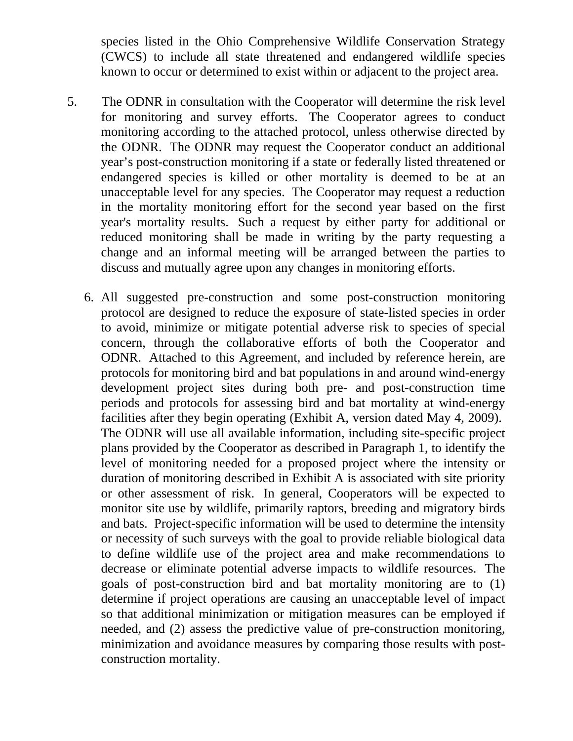species listed in the Ohio Comprehensive Wildlife Conservation Strategy (CWCS) to include all state threatened and endangered wildlife species known to occur or determined to exist within or adjacent to the project area.

- 5. The ODNR in consultation with the Cooperator will determine the risk level for monitoring and survey efforts. The Cooperator agrees to conduct monitoring according to the attached protocol, unless otherwise directed by the ODNR. The ODNR may request the Cooperator conduct an additional year's post-construction monitoring if a state or federally listed threatened or endangered species is killed or other mortality is deemed to be at an unacceptable level for any species. The Cooperator may request a reduction in the mortality monitoring effort for the second year based on the first year's mortality results. Such a request by either party for additional or reduced monitoring shall be made in writing by the party requesting a change and an informal meeting will be arranged between the parties to discuss and mutually agree upon any changes in monitoring efforts.
	- 6. All suggested pre-construction and some post-construction monitoring protocol are designed to reduce the exposure of state-listed species in order to avoid, minimize or mitigate potential adverse risk to species of special concern, through the collaborative efforts of both the Cooperator and ODNR. Attached to this Agreement, and included by reference herein, are protocols for monitoring bird and bat populations in and around wind-energy development project sites during both pre- and post-construction time periods and protocols for assessing bird and bat mortality at wind-energy facilities after they begin operating (Exhibit A, version dated May 4, 2009). The ODNR will use all available information, including site-specific project plans provided by the Cooperator as described in Paragraph 1, to identify the level of monitoring needed for a proposed project where the intensity or duration of monitoring described in Exhibit A is associated with site priority or other assessment of risk. In general, Cooperators will be expected to monitor site use by wildlife, primarily raptors, breeding and migratory birds and bats. Project-specific information will be used to determine the intensity or necessity of such surveys with the goal to provide reliable biological data to define wildlife use of the project area and make recommendations to decrease or eliminate potential adverse impacts to wildlife resources. The goals of post-construction bird and bat mortality monitoring are to (1) determine if project operations are causing an unacceptable level of impact so that additional minimization or mitigation measures can be employed if needed, and (2) assess the predictive value of pre-construction monitoring, minimization and avoidance measures by comparing those results with postconstruction mortality.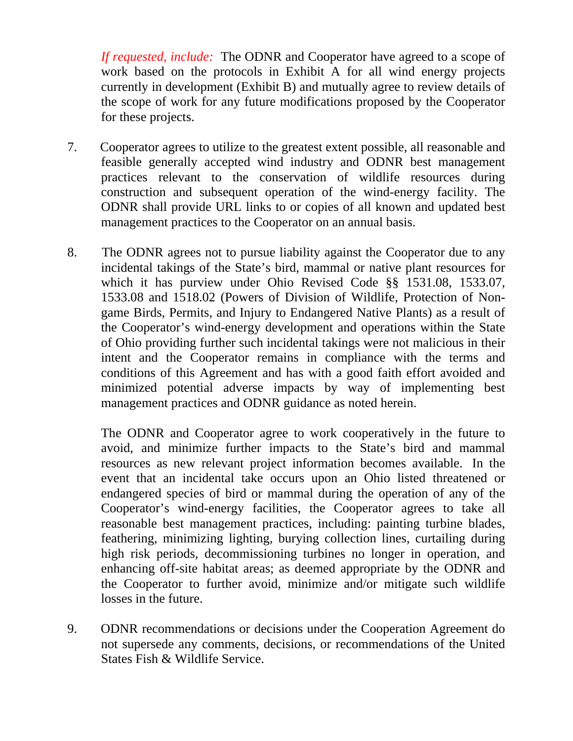*If requested, include:* The ODNR and Cooperator have agreed to a scope of work based on the protocols in Exhibit A for all wind energy projects currently in development (Exhibit B) and mutually agree to review details of the scope of work for any future modifications proposed by the Cooperator for these projects.

- 7. Cooperator agrees to utilize to the greatest extent possible, all reasonable and feasible generally accepted wind industry and ODNR best management practices relevant to the conservation of wildlife resources during construction and subsequent operation of the wind-energy facility. The ODNR shall provide URL links to or copies of all known and updated best management practices to the Cooperator on an annual basis.
- 8. The ODNR agrees not to pursue liability against the Cooperator due to any incidental takings of the State's bird, mammal or native plant resources for which it has purview under Ohio Revised Code §§ 1531.08, 1533.07, 1533.08 and 1518.02 (Powers of Division of Wildlife, Protection of Nongame Birds, Permits, and Injury to Endangered Native Plants) as a result of the Cooperator's wind-energy development and operations within the State of Ohio providing further such incidental takings were not malicious in their intent and the Cooperator remains in compliance with the terms and conditions of this Agreement and has with a good faith effort avoided and minimized potential adverse impacts by way of implementing best management practices and ODNR guidance as noted herein.

The ODNR and Cooperator agree to work cooperatively in the future to avoid, and minimize further impacts to the State's bird and mammal resources as new relevant project information becomes available. In the event that an incidental take occurs upon an Ohio listed threatened or endangered species of bird or mammal during the operation of any of the Cooperator's wind-energy facilities, the Cooperator agrees to take all reasonable best management practices, including: painting turbine blades, feathering, minimizing lighting, burying collection lines, curtailing during high risk periods, decommissioning turbines no longer in operation, and enhancing off-site habitat areas; as deemed appropriate by the ODNR and the Cooperator to further avoid, minimize and/or mitigate such wildlife losses in the future.

9. ODNR recommendations or decisions under the Cooperation Agreement do not supersede any comments, decisions, or recommendations of the United States Fish & Wildlife Service.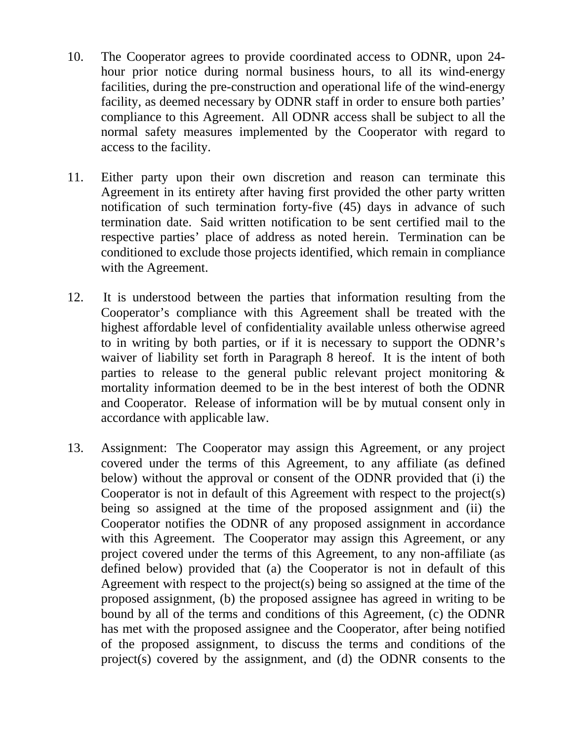- 10. The Cooperator agrees to provide coordinated access to ODNR, upon 24 hour prior notice during normal business hours, to all its wind-energy facilities, during the pre-construction and operational life of the wind-energy facility, as deemed necessary by ODNR staff in order to ensure both parties' compliance to this Agreement. All ODNR access shall be subject to all the normal safety measures implemented by the Cooperator with regard to access to the facility.
- 11. Either party upon their own discretion and reason can terminate this Agreement in its entirety after having first provided the other party written notification of such termination forty-five (45) days in advance of such termination date. Said written notification to be sent certified mail to the respective parties' place of address as noted herein. Termination can be conditioned to exclude those projects identified, which remain in compliance with the Agreement.
- 12. It is understood between the parties that information resulting from the Cooperator's compliance with this Agreement shall be treated with the highest affordable level of confidentiality available unless otherwise agreed to in writing by both parties, or if it is necessary to support the ODNR's waiver of liability set forth in Paragraph 8 hereof. It is the intent of both parties to release to the general public relevant project monitoring & mortality information deemed to be in the best interest of both the ODNR and Cooperator. Release of information will be by mutual consent only in accordance with applicable law.
- 13. Assignment: The Cooperator may assign this Agreement, or any project covered under the terms of this Agreement, to any affiliate (as defined below) without the approval or consent of the ODNR provided that (i) the Cooperator is not in default of this Agreement with respect to the project(s) being so assigned at the time of the proposed assignment and (ii) the Cooperator notifies the ODNR of any proposed assignment in accordance with this Agreement. The Cooperator may assign this Agreement, or any project covered under the terms of this Agreement, to any non-affiliate (as defined below) provided that (a) the Cooperator is not in default of this Agreement with respect to the project(s) being so assigned at the time of the proposed assignment, (b) the proposed assignee has agreed in writing to be bound by all of the terms and conditions of this Agreement, (c) the ODNR has met with the proposed assignee and the Cooperator, after being notified of the proposed assignment, to discuss the terms and conditions of the project(s) covered by the assignment, and (d) the ODNR consents to the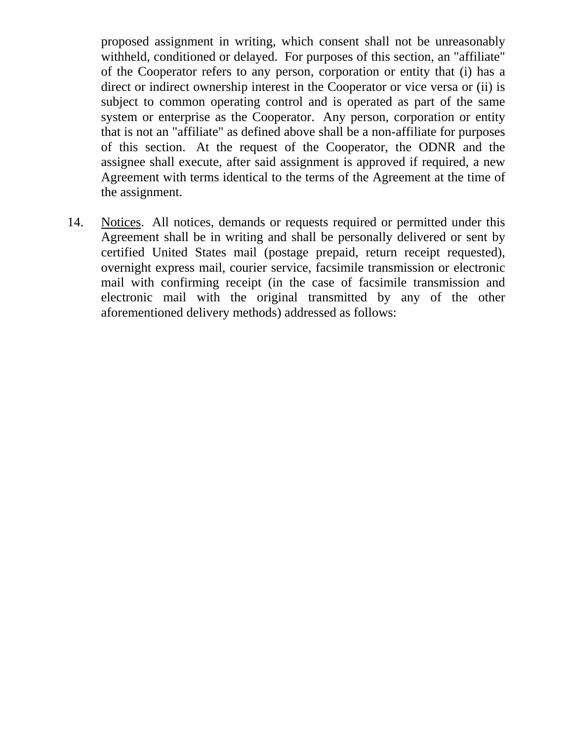proposed assignment in writing, which consent shall not be unreasonably withheld, conditioned or delayed. For purposes of this section, an "affiliate" of the Cooperator refers to any person, corporation or entity that (i) has a direct or indirect ownership interest in the Cooperator or vice versa or (ii) is subject to common operating control and is operated as part of the same system or enterprise as the Cooperator. Any person, corporation or entity that is not an "affiliate" as defined above shall be a non-affiliate for purposes of this section. At the request of the Cooperator, the ODNR and the assignee shall execute, after said assignment is approved if required, a new Agreement with terms identical to the terms of the Agreement at the time of the assignment.

14. Notices. All notices, demands or requests required or permitted under this Agreement shall be in writing and shall be personally delivered or sent by certified United States mail (postage prepaid, return receipt requested), overnight express mail, courier service, facsimile transmission or electronic mail with confirming receipt (in the case of facsimile transmission and electronic mail with the original transmitted by any of the other aforementioned delivery methods) addressed as follows: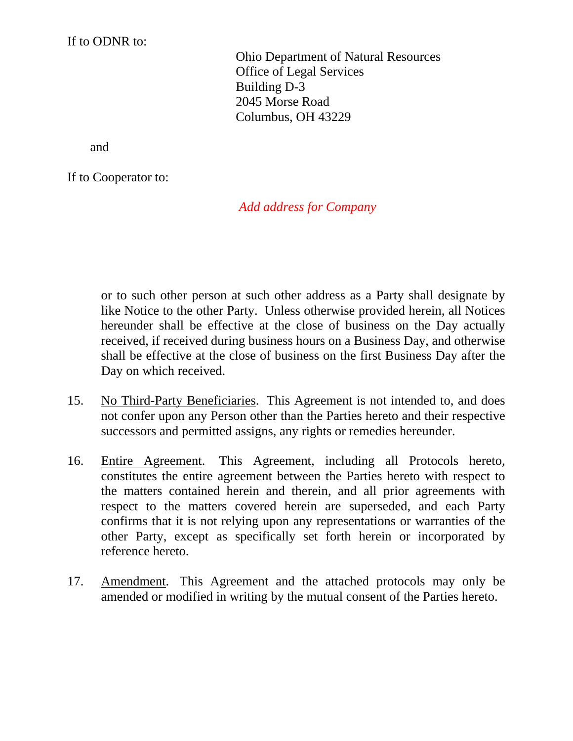If to ODNR to:

Ohio Department of Natural Resources Office of Legal Services Building D-3 2045 Morse Road Columbus, OH 43229

and

If to Cooperator to:

## *Add address for Company*

or to such other person at such other address as a Party shall designate by like Notice to the other Party. Unless otherwise provided herein, all Notices hereunder shall be effective at the close of business on the Day actually received, if received during business hours on a Business Day, and otherwise shall be effective at the close of business on the first Business Day after the Day on which received.

- 15. No Third-Party Beneficiaries. This Agreement is not intended to, and does not confer upon any Person other than the Parties hereto and their respective successors and permitted assigns, any rights or remedies hereunder.
- 16. Entire Agreement. This Agreement, including all Protocols hereto, constitutes the entire agreement between the Parties hereto with respect to the matters contained herein and therein, and all prior agreements with respect to the matters covered herein are superseded, and each Party confirms that it is not relying upon any representations or warranties of the other Party, except as specifically set forth herein or incorporated by reference hereto.
- 17. Amendment. This Agreement and the attached protocols may only be amended or modified in writing by the mutual consent of the Parties hereto.